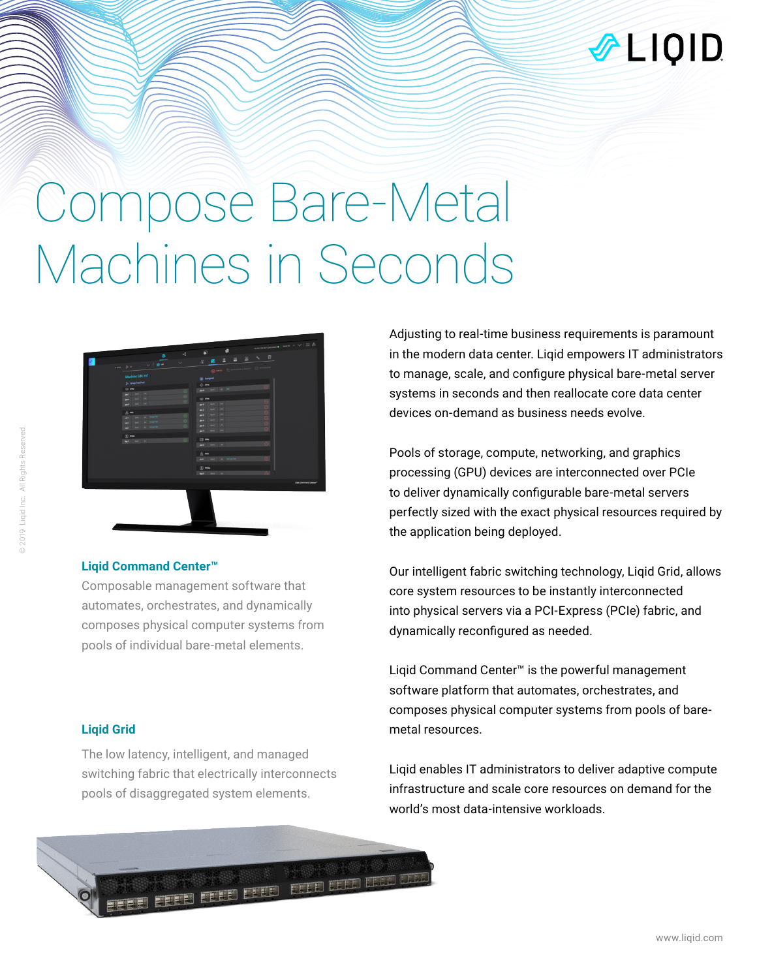

# Compose Bare-Metal Machines in Seconds



### **Liqid Command Center™**

Composable management software that automates, orchestrates, and dynamically composes physical computer systems from pools of individual bare-metal elements.

### **Liqid Grid**

The low latency, intelligent, and managed switching fabric that electrically interconnects pools of disaggregated system elements.

**THE ELECTRIC** 

Adjusting to real-time business requirements is paramount in the modern data center. Liqid empowers IT administrators to manage, scale, and configure physical bare-metal server systems in seconds and then reallocate core data center devices on-demand as business needs evolve.

Pools of storage, compute, networking, and graphics processing (GPU) devices are interconnected over PCIe to deliver dynamically configurable bare-metal servers perfectly sized with the exact physical resources required by the application being deployed.

Our intelligent fabric switching technology, Liqid Grid, allows core system resources to be instantly interconnected into physical servers via a PCI-Express (PCIe) fabric, and dynamically reconfigured as needed.

Liqid Command Center™ is the powerful management software platform that automates, orchestrates, and composes physical computer systems from pools of baremetal resources.

Liqid enables IT administrators to deliver adaptive compute infrastructure and scale core resources on demand for the world's most data-intensive workloads.